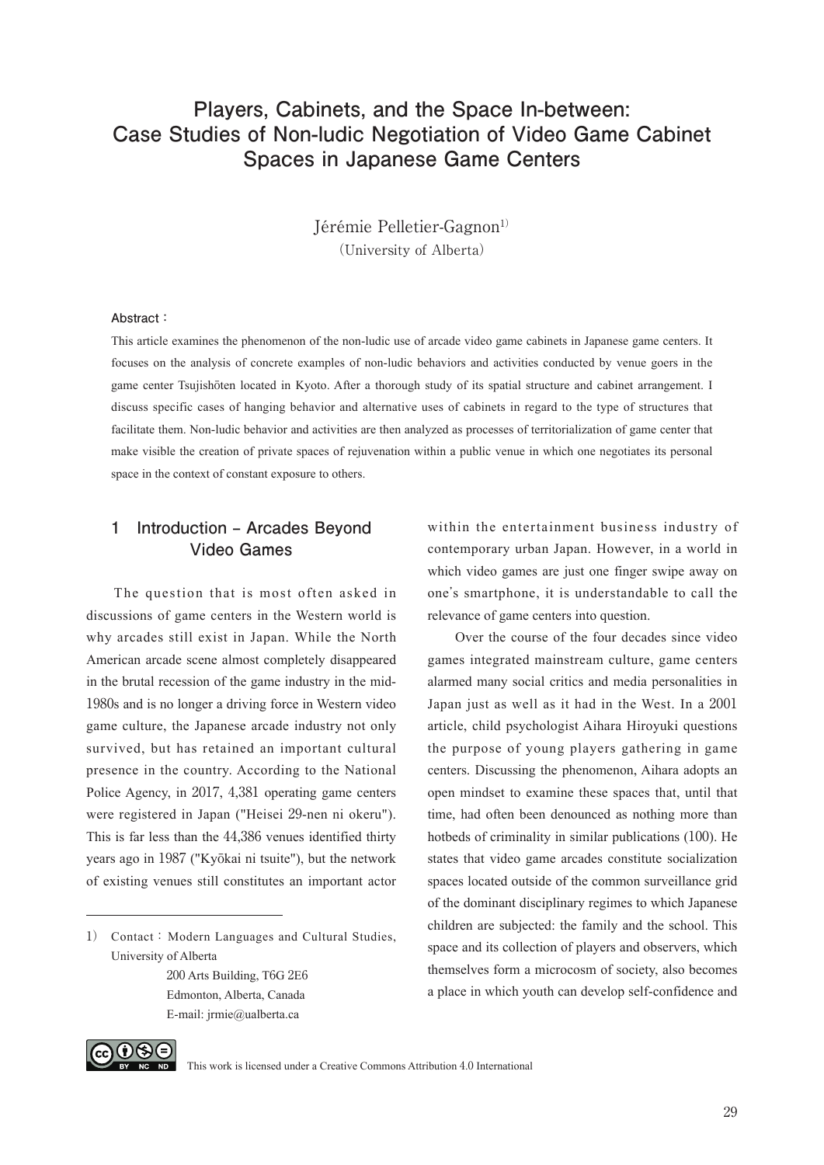# **Players, Cabinets, and the Space In-between: Case Studies of Non-ludic Negotiation of Video Game Cabinet Spaces in Japanese Game Centers**

Jérémie Pelletier-Gagnon<sup>1)</sup> (University of Alberta)

#### **Abstract:**

This article examines the phenomenon of the non-ludic use of arcade video game cabinets in Japanese game centers. It focuses on the analysis of concrete examples of non-ludic behaviors and activities conducted by venue goers in the game center Tsujishōten located in Kyoto. After a thorough study of its spatial structure and cabinet arrangement. I discuss specific cases of hanging behavior and alternative uses of cabinets in regard to the type of structures that facilitate them. Non-ludic behavior and activities are then analyzed as processes of territorialization of game center that make visible the creation of private spaces of rejuvenation within a public venue in which one negotiates its personal space in the context of constant exposure to others.

### **1 Introduction ‒ Arcades Beyond Video Games**

The question that is most often asked in discussions of game centers in the Western world is why arcades still exist in Japan. While the North American arcade scene almost completely disappeared in the brutal recession of the game industry in the mid-1980s and is no longer a driving force in Western video game culture, the Japanese arcade industry not only survived, but has retained an important cultural presence in the country. According to the National Police Agency, in 2017, 4,381 operating game centers were registered in Japan ("Heisei 29-nen ni okeru"). This is far less than the 44,386 venues identified thirty years ago in 1987 ("Kyōkai ni tsuite"), but the network of existing venues still constitutes an important actor

200 Arts Building, T6G 2E6 Edmonton, Alberta, Canada E-mail: jrmie@ualberta.ca

within the entertainment business industry of contemporary urban Japan. However, in a world in which video games are just one finger swipe away on one's smartphone, it is understandable to call the relevance of game centers into question.

Over the course of the four decades since video games integrated mainstream culture, game centers alarmed many social critics and media personalities in Japan just as well as it had in the West. In a 2001 article, child psychologist Aihara Hiroyuki questions the purpose of young players gathering in game centers. Discussing the phenomenon, Aihara adopts an open mindset to examine these spaces that, until that time, had often been denounced as nothing more than hotbeds of criminality in similar publications (100). He states that video game arcades constitute socialization spaces located outside of the common surveillance grid of the dominant disciplinary regimes to which Japanese children are subjected: the family and the school. This space and its collection of players and observers, which themselves form a microcosm of society, also becomes a place in which youth can develop self-confidence and



<sup>1)</sup> Contact: Modern Languages and Cultural Studies, University of Alberta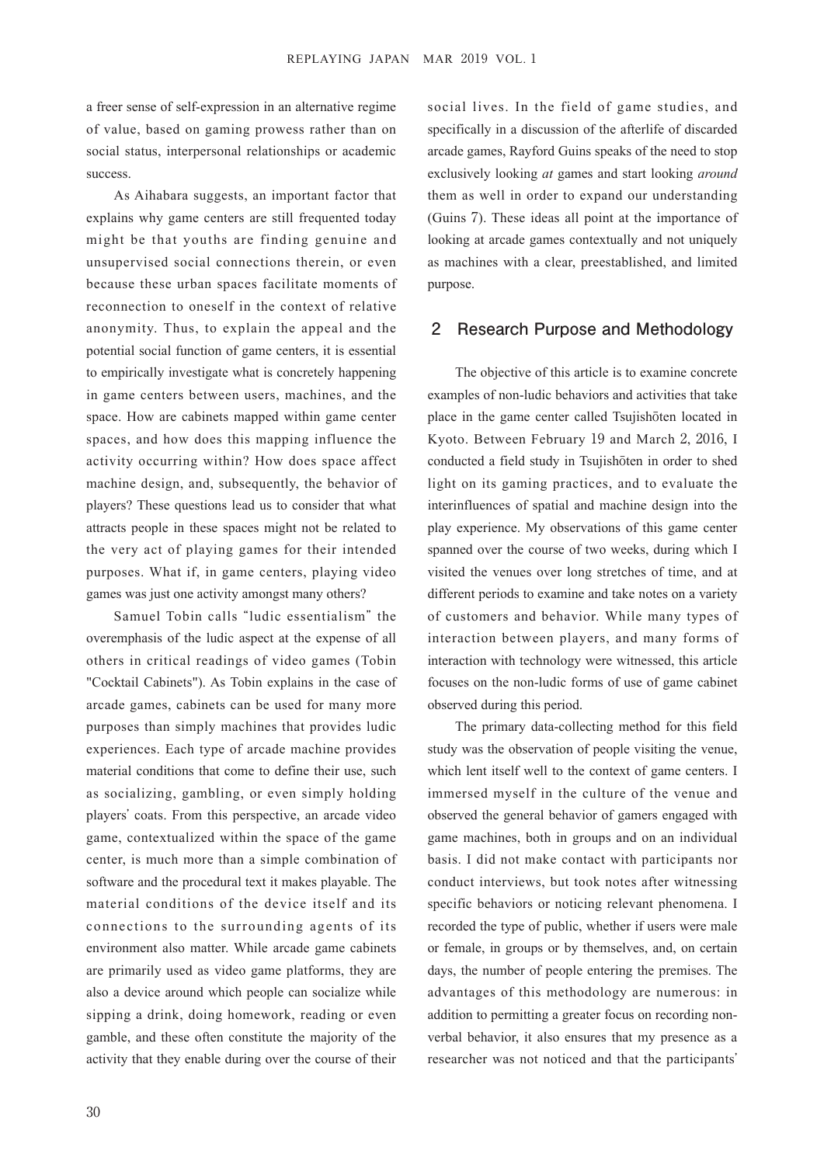a freer sense of self-expression in an alternative regime of value, based on gaming prowess rather than on social status, interpersonal relationships or academic success.

As Aihabara suggests, an important factor that explains why game centers are still frequented today might be that youths are finding genuine and unsupervised social connections therein, or even because these urban spaces facilitate moments of reconnection to oneself in the context of relative anonymity. Thus, to explain the appeal and the potential social function of game centers, it is essential to empirically investigate what is concretely happening in game centers between users, machines, and the space. How are cabinets mapped within game center spaces, and how does this mapping influence the activity occurring within? How does space affect machine design, and, subsequently, the behavior of players? These questions lead us to consider that what attracts people in these spaces might not be related to the very act of playing games for their intended purposes. What if, in game centers, playing video games was just one activity amongst many others?

Samuel Tobin calls "ludic essentialism" the overemphasis of the ludic aspect at the expense of all others in critical readings of video games (Tobin "Cocktail Cabinets"). As Tobin explains in the case of arcade games, cabinets can be used for many more purposes than simply machines that provides ludic experiences. Each type of arcade machine provides material conditions that come to define their use, such as socializing, gambling, or even simply holding players' coats. From this perspective, an arcade video game, contextualized within the space of the game center, is much more than a simple combination of software and the procedural text it makes playable. The material conditions of the device itself and its connections to the surrounding agents of its environment also matter. While arcade game cabinets are primarily used as video game platforms, they are also a device around which people can socialize while sipping a drink, doing homework, reading or even gamble, and these often constitute the majority of the activity that they enable during over the course of their

social lives. In the field of game studies, and specifically in a discussion of the afterlife of discarded arcade games, Rayford Guins speaks of the need to stop exclusively looking *at* games and start looking *around* them as well in order to expand our understanding (Guins 7). These ideas all point at the importance of looking at arcade games contextually and not uniquely as machines with a clear, preestablished, and limited purpose.

#### **2 Research Purpose and Methodology**

The objective of this article is to examine concrete examples of non-ludic behaviors and activities that take place in the game center called Tsujishōten located in Kyoto. Between February 19 and March 2, 2016, I conducted a field study in Tsujishōten in order to shed light on its gaming practices, and to evaluate the interinfluences of spatial and machine design into the play experience. My observations of this game center spanned over the course of two weeks, during which I visited the venues over long stretches of time, and at different periods to examine and take notes on a variety of customers and behavior. While many types of interaction between players, and many forms of interaction with technology were witnessed, this article focuses on the non-ludic forms of use of game cabinet observed during this period.

The primary data-collecting method for this field study was the observation of people visiting the venue, which lent itself well to the context of game centers. I immersed myself in the culture of the venue and observed the general behavior of gamers engaged with game machines, both in groups and on an individual basis. I did not make contact with participants nor conduct interviews, but took notes after witnessing specific behaviors or noticing relevant phenomena. I recorded the type of public, whether if users were male or female, in groups or by themselves, and, on certain days, the number of people entering the premises. The advantages of this methodology are numerous: in addition to permitting a greater focus on recording nonverbal behavior, it also ensures that my presence as a researcher was not noticed and that the participants'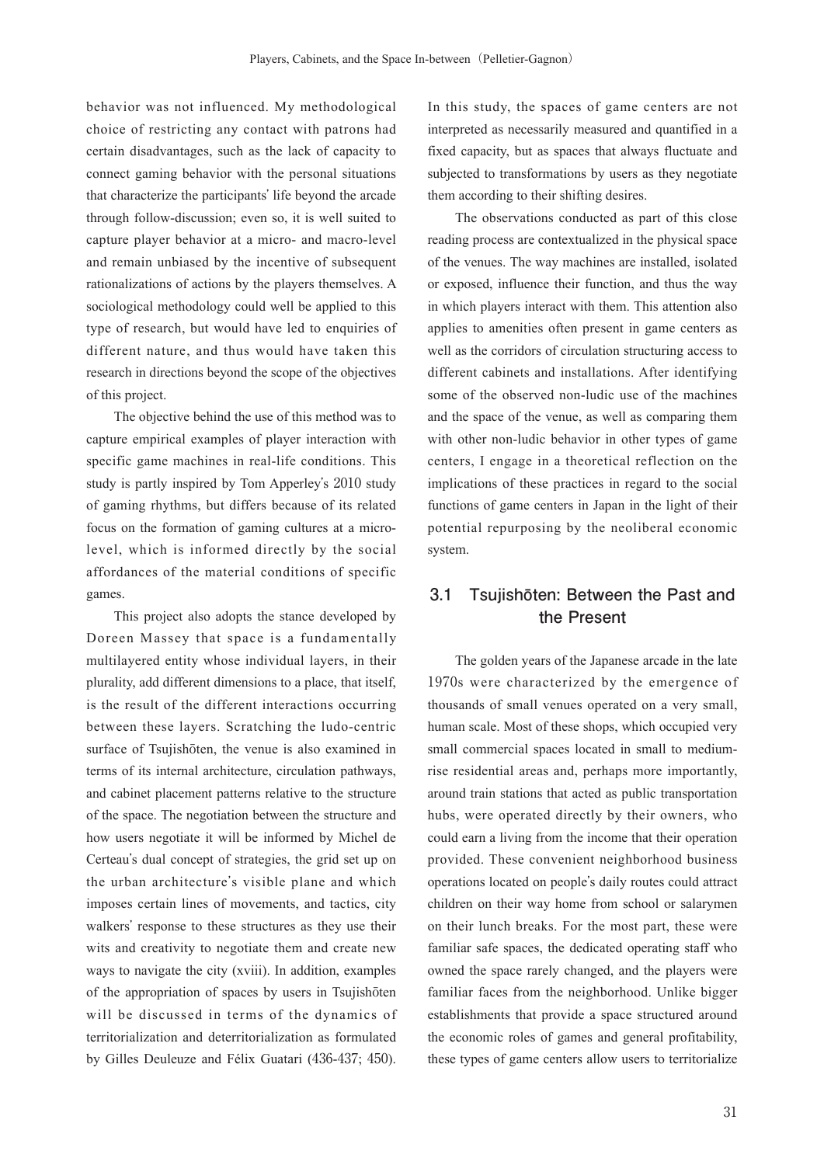behavior was not influenced. My methodological choice of restricting any contact with patrons had certain disadvantages, such as the lack of capacity to connect gaming behavior with the personal situations that characterize the participants' life beyond the arcade through follow-discussion; even so, it is well suited to capture player behavior at a micro- and macro-level and remain unbiased by the incentive of subsequent rationalizations of actions by the players themselves. A sociological methodology could well be applied to this type of research, but would have led to enquiries of different nature, and thus would have taken this research in directions beyond the scope of the objectives of this project.

The objective behind the use of this method was to capture empirical examples of player interaction with specific game machines in real-life conditions. This study is partly inspired by Tom Apperley's 2010 study of gaming rhythms, but differs because of its related focus on the formation of gaming cultures at a microlevel, which is informed directly by the social affordances of the material conditions of specific games.

This project also adopts the stance developed by Doreen Massey that space is a fundamentally multilayered entity whose individual layers, in their plurality, add different dimensions to a place, that itself, is the result of the different interactions occurring between these layers. Scratching the ludo-centric surface of Tsujishōten, the venue is also examined in terms of its internal architecture, circulation pathways, and cabinet placement patterns relative to the structure of the space. The negotiation between the structure and how users negotiate it will be informed by Michel de Certeau's dual concept of strategies, the grid set up on the urban architecture's visible plane and which imposes certain lines of movements, and tactics, city walkers' response to these structures as they use their wits and creativity to negotiate them and create new ways to navigate the city (xviii). In addition, examples of the appropriation of spaces by users in Tsujishōten will be discussed in terms of the dynamics of territorialization and deterritorialization as formulated by Gilles Deuleuze and Félix Guatari (436-437; 450).

In this study, the spaces of game centers are not interpreted as necessarily measured and quantified in a fixed capacity, but as spaces that always fluctuate and subjected to transformations by users as they negotiate them according to their shifting desires.

The observations conducted as part of this close reading process are contextualized in the physical space of the venues. The way machines are installed, isolated or exposed, influence their function, and thus the way in which players interact with them. This attention also applies to amenities often present in game centers as well as the corridors of circulation structuring access to different cabinets and installations. After identifying some of the observed non-ludic use of the machines and the space of the venue, as well as comparing them with other non-ludic behavior in other types of game centers, I engage in a theoretical reflection on the implications of these practices in regard to the social functions of game centers in Japan in the light of their potential repurposing by the neoliberal economic system.

## **3.1 Tsujishōten: Between the Past and the Present**

The golden years of the Japanese arcade in the late 1970s were characterized by the emergence of thousands of small venues operated on a very small, human scale. Most of these shops, which occupied very small commercial spaces located in small to mediumrise residential areas and, perhaps more importantly, around train stations that acted as public transportation hubs, were operated directly by their owners, who could earn a living from the income that their operation provided. These convenient neighborhood business operations located on people's daily routes could attract children on their way home from school or salarymen on their lunch breaks. For the most part, these were familiar safe spaces, the dedicated operating staff who owned the space rarely changed, and the players were familiar faces from the neighborhood. Unlike bigger establishments that provide a space structured around the economic roles of games and general profitability, these types of game centers allow users to territorialize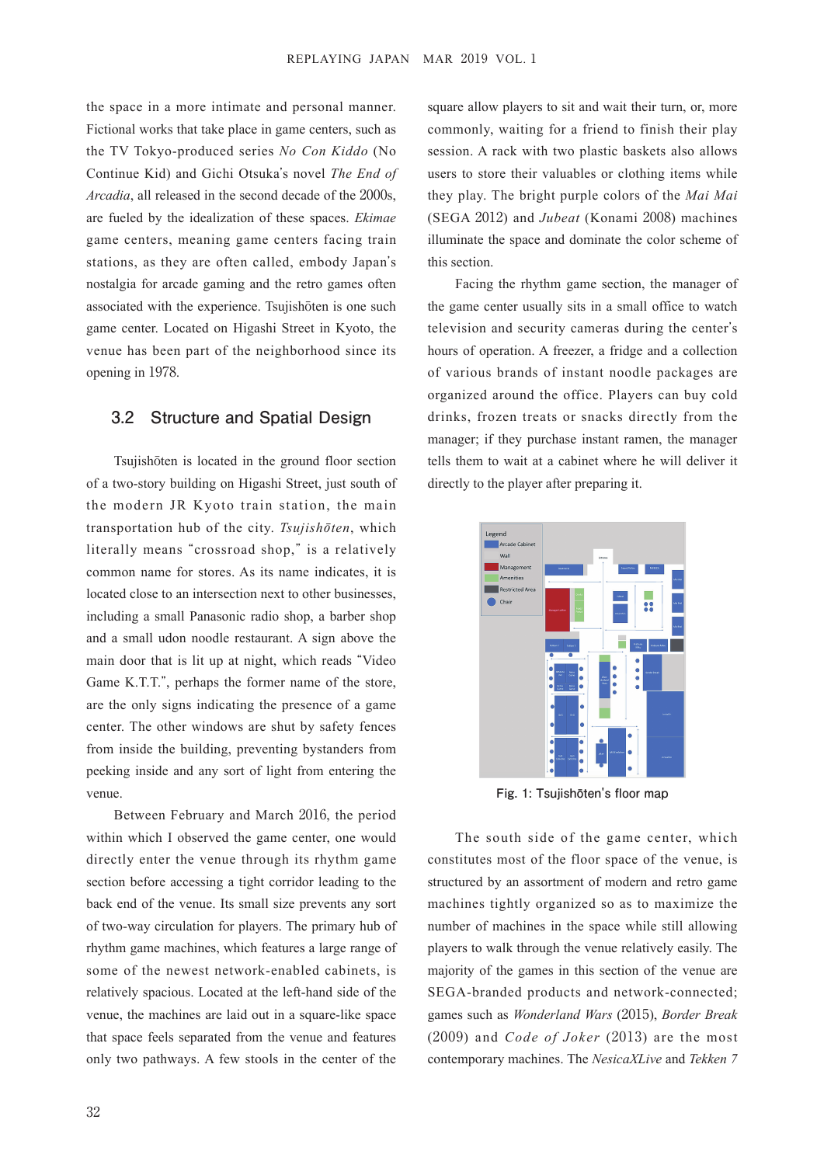the space in a more intimate and personal manner. Fictional works that take place in game centers, such as the TV Tokyo-produced series *No Con Kiddo* (No Continue Kid) and Gichi Otsuka's novel *The End of Arcadia*, all released in the second decade of the 2000s, are fueled by the idealization of these spaces. *Ekimae* game centers, meaning game centers facing train stations, as they are often called, embody Japan's nostalgia for arcade gaming and the retro games often associated with the experience. Tsujishōten is one such game center. Located on Higashi Street in Kyoto, the venue has been part of the neighborhood since its opening in 1978.

#### **3.2 Structure and Spatial Design**

Tsujishōten is located in the ground floor section of a two-story building on Higashi Street, just south of the modern JR Kyoto train station, the main transportation hub of the city. *Tsujish*ō*ten*, which literally means "crossroad shop," is a relatively common name for stores. As its name indicates, it is located close to an intersection next to other businesses, including a small Panasonic radio shop, a barber shop and a small udon noodle restaurant. A sign above the main door that is lit up at night, which reads "Video Game K.T.T.", perhaps the former name of the store, are the only signs indicating the presence of a game center. The other windows are shut by safety fences from inside the building, preventing bystanders from peeking inside and any sort of light from entering the venue.

Between February and March 2016, the period within which I observed the game center, one would directly enter the venue through its rhythm game section before accessing a tight corridor leading to the back end of the venue. Its small size prevents any sort of two-way circulation for players. The primary hub of rhythm game machines, which features a large range of some of the newest network-enabled cabinets, is relatively spacious. Located at the left-hand side of the venue, the machines are laid out in a square-like space that space feels separated from the venue and features only two pathways. A few stools in the center of the square allow players to sit and wait their turn, or, more commonly, waiting for a friend to finish their play session. A rack with two plastic baskets also allows users to store their valuables or clothing items while they play. The bright purple colors of the *Mai Mai* (SEGA 2012) and *Jubeat* (Konami 2008) machines illuminate the space and dominate the color scheme of this section.

Facing the rhythm game section, the manager of the game center usually sits in a small office to watch television and security cameras during the center's hours of operation. A freezer, a fridge and a collection of various brands of instant noodle packages are organized around the office. Players can buy cold drinks, frozen treats or snacks directly from the manager; if they purchase instant ramen, the manager tells them to wait at a cabinet where he will deliver it directly to the player after preparing it.



**Fig. 1: Tsujishōten's floor map**

The south side of the game center, which constitutes most of the floor space of the venue, is structured by an assortment of modern and retro game machines tightly organized so as to maximize the number of machines in the space while still allowing players to walk through the venue relatively easily. The majority of the games in this section of the venue are SEGA-branded products and network-connected; games such as *Wonderland Wars* (2015), *Border Break* (2009) and *Code of Joker* (2013) are the most contemporary machines. The *NesicaXLive* and *Tekken 7*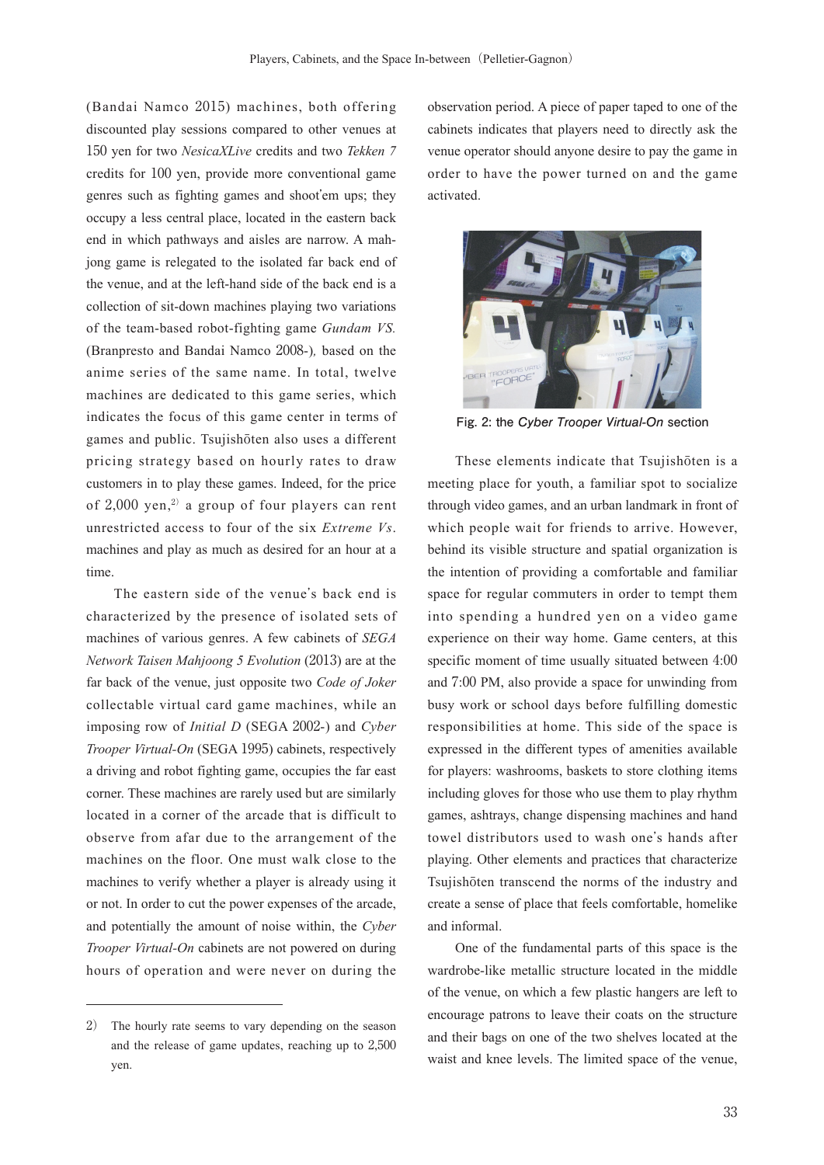(Bandai Namco 2015) machines, both offering discounted play sessions compared to other venues at 150 yen for two *NesicaXLive* credits and two *Tekken 7* credits for 100 yen, provide more conventional game genres such as fighting games and shoot'em ups; they occupy a less central place, located in the eastern back end in which pathways and aisles are narrow. A mahjong game is relegated to the isolated far back end of the venue, and at the left-hand side of the back end is a collection of sit-down machines playing two variations of the team-based robot-fighting game *Gundam VS.*  (Branpresto and Bandai Namco 2008-)*,* based on the anime series of the same name. In total, twelve machines are dedicated to this game series, which indicates the focus of this game center in terms of games and public. Tsujishōten also uses a different pricing strategy based on hourly rates to draw customers in to play these games. Indeed, for the price of  $2,000$  yen,<sup>2)</sup> a group of four players can rent unrestricted access to four of the six *Extreme Vs*. machines and play as much as desired for an hour at a time.

The eastern side of the venue's back end is characterized by the presence of isolated sets of machines of various genres. A few cabinets of *SEGA Network Taisen Mahjoong 5 Evolution* (2013) are at the far back of the venue, just opposite two *Code of Joker*  collectable virtual card game machines, while an imposing row of *Initial D* (SEGA 2002-) and *Cyber Trooper Virtual-On* (SEGA 1995) cabinets, respectively a driving and robot fighting game, occupies the far east corner. These machines are rarely used but are similarly located in a corner of the arcade that is difficult to observe from afar due to the arrangement of the machines on the floor. One must walk close to the machines to verify whether a player is already using it or not. In order to cut the power expenses of the arcade, and potentially the amount of noise within, the *Cyber Trooper Virtual-On* cabinets are not powered on during hours of operation and were never on during the

observation period. A piece of paper taped to one of the cabinets indicates that players need to directly ask the venue operator should anyone desire to pay the game in order to have the power turned on and the game activated.



**Fig. 2: the Cyber Trooper Virtual-On section**

These elements indicate that Tsujishōten is a meeting place for youth, a familiar spot to socialize through video games, and an urban landmark in front of which people wait for friends to arrive. However, behind its visible structure and spatial organization is the intention of providing a comfortable and familiar space for regular commuters in order to tempt them into spending a hundred yen on a video game experience on their way home. Game centers, at this specific moment of time usually situated between 4:00 and 7:00 PM, also provide a space for unwinding from busy work or school days before fulfilling domestic responsibilities at home. This side of the space is expressed in the different types of amenities available for players: washrooms, baskets to store clothing items including gloves for those who use them to play rhythm games, ashtrays, change dispensing machines and hand towel distributors used to wash one's hands after playing. Other elements and practices that characterize Tsujishōten transcend the norms of the industry and create a sense of place that feels comfortable, homelike and informal.

One of the fundamental parts of this space is the wardrobe-like metallic structure located in the middle of the venue, on which a few plastic hangers are left to encourage patrons to leave their coats on the structure and their bags on one of the two shelves located at the waist and knee levels. The limited space of the venue,

<sup>2)</sup> The hourly rate seems to vary depending on the season and the release of game updates, reaching up to 2,500 yen.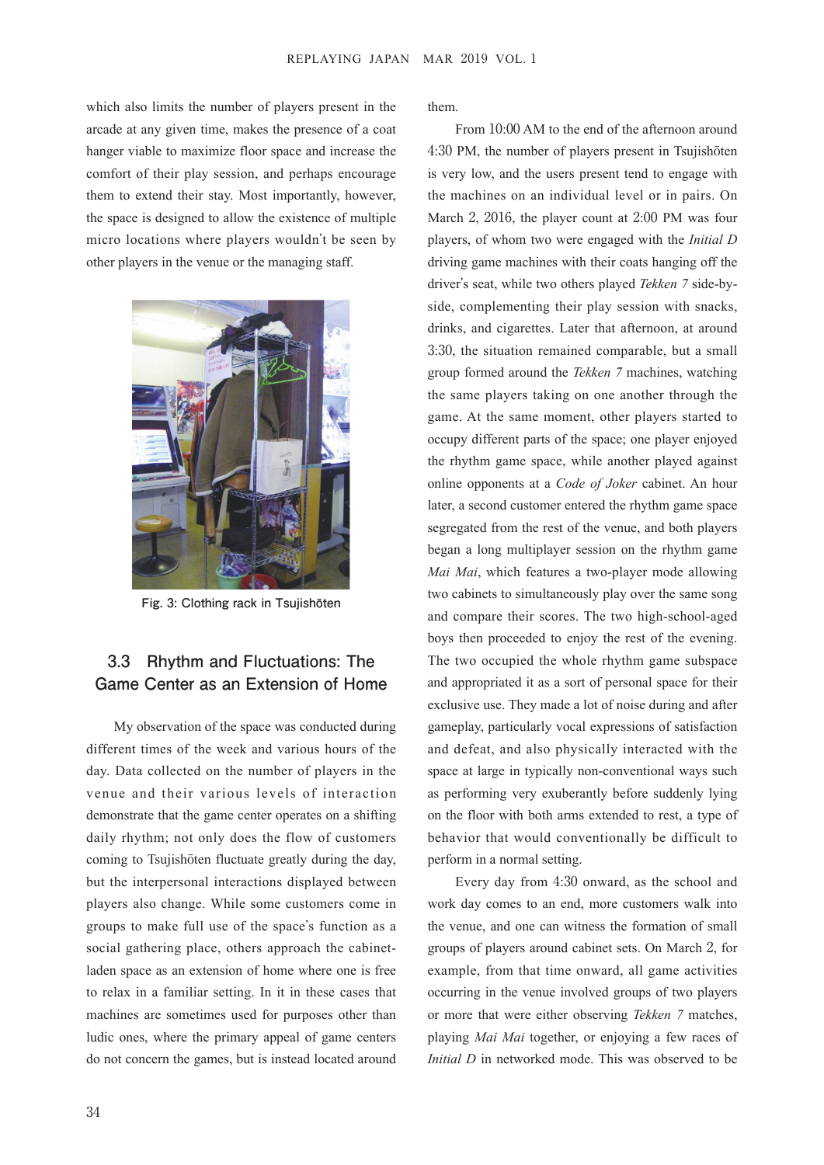which also limits the number of players present in the arcade at any given time, makes the presence of a coat hanger viable to maximize floor space and increase the comfort of their play session, and perhaps encourage them to extend their stay. Most importantly, however, the space is designed to allow the existence of multiple micro locations where players wouldn't be seen by other players in the venue or the managing staff.



**Fig. 3: Clothing rack in Tsujishōten**

## **3.3 Rhythm and Fluctuations: The Game Center as an Extension of Home**

My observation of the space was conducted during different times of the week and various hours of the day. Data collected on the number of players in the venue and their various levels of interaction demonstrate that the game center operates on a shifting daily rhythm; not only does the flow of customers coming to Tsujishōten fluctuate greatly during the day, but the interpersonal interactions displayed between players also change. While some customers come in groups to make full use of the space's function as a social gathering place, others approach the cabinetladen space as an extension of home where one is free to relax in a familiar setting. In it in these cases that machines are sometimes used for purposes other than ludic ones, where the primary appeal of game centers do not concern the games, but is instead located around them.

From 10:00 AM to the end of the afternoon around 4:30 PM, the number of players present in Tsujishōten is very low, and the users present tend to engage with the machines on an individual level or in pairs. On March 2, 2016, the player count at 2:00 PM was four players, of whom two were engaged with the *Initial D* driving game machines with their coats hanging off the driver's seat, while two others played *Tekken 7* side-byside, complementing their play session with snacks, drinks, and cigarettes. Later that afternoon, at around 3:30, the situation remained comparable, but a small group formed around the *Tekken 7* machines, watching the same players taking on one another through the game. At the same moment, other players started to occupy different parts of the space; one player enjoyed the rhythm game space, while another played against online opponents at a *Code of Joker* cabinet. An hour later, a second customer entered the rhythm game space segregated from the rest of the venue, and both players began a long multiplayer session on the rhythm game *Mai Mai*, which features a two-player mode allowing two cabinets to simultaneously play over the same song and compare their scores. The two high-school-aged boys then proceeded to enjoy the rest of the evening. The two occupied the whole rhythm game subspace and appropriated it as a sort of personal space for their exclusive use. They made a lot of noise during and after gameplay, particularly vocal expressions of satisfaction and defeat, and also physically interacted with the space at large in typically non-conventional ways such as performing very exuberantly before suddenly lying on the floor with both arms extended to rest, a type of behavior that would conventionally be difficult to perform in a normal setting.

Every day from 4:30 onward, as the school and work day comes to an end, more customers walk into the venue, and one can witness the formation of small groups of players around cabinet sets. On March 2, for example, from that time onward, all game activities occurring in the venue involved groups of two players or more that were either observing *Tekken 7* matches, playing *Mai Mai* together, or enjoying a few races of *Initial D* in networked mode. This was observed to be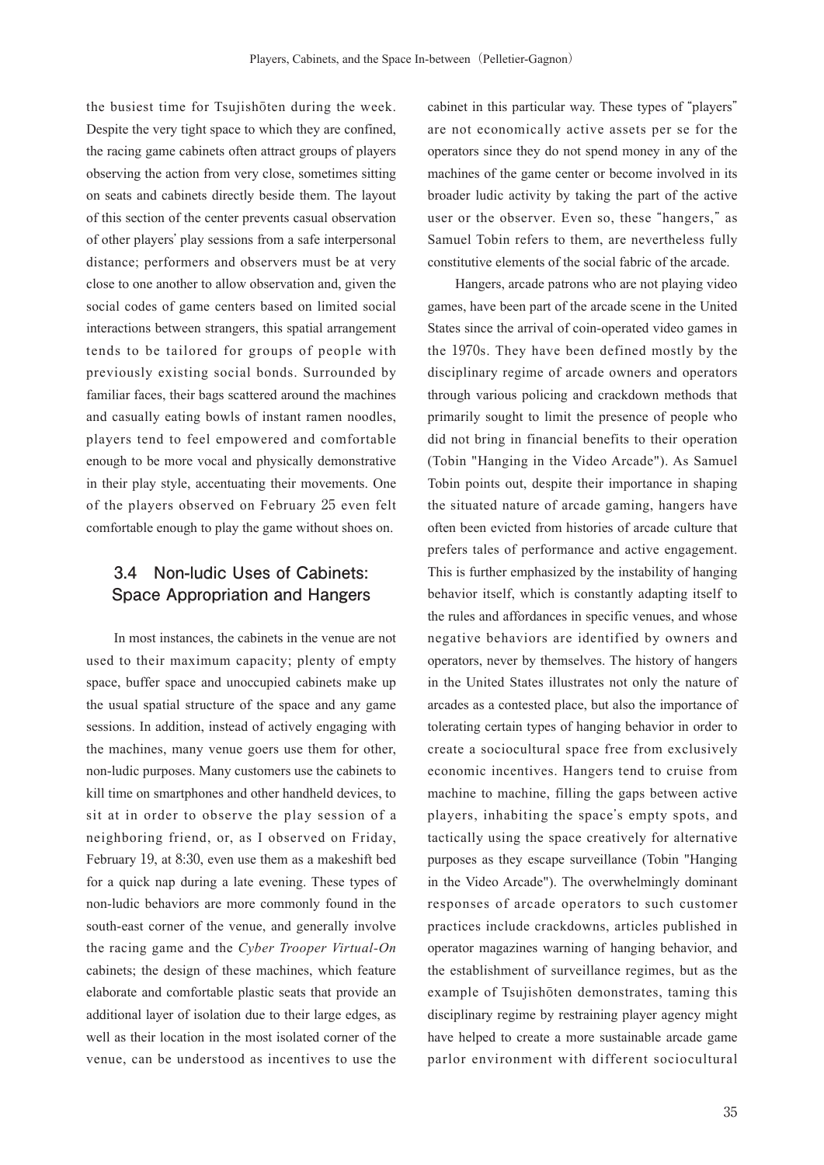the busiest time for Tsujishōten during the week. Despite the very tight space to which they are confined, the racing game cabinets often attract groups of players observing the action from very close, sometimes sitting on seats and cabinets directly beside them. The layout of this section of the center prevents casual observation of other players' play sessions from a safe interpersonal distance; performers and observers must be at very close to one another to allow observation and, given the social codes of game centers based on limited social interactions between strangers, this spatial arrangement tends to be tailored for groups of people with previously existing social bonds. Surrounded by familiar faces, their bags scattered around the machines and casually eating bowls of instant ramen noodles, players tend to feel empowered and comfortable enough to be more vocal and physically demonstrative in their play style, accentuating their movements. One of the players observed on February 25 even felt comfortable enough to play the game without shoes on.

### **3.4 Non-ludic Uses of Cabinets: Space Appropriation and Hangers**

In most instances, the cabinets in the venue are not used to their maximum capacity; plenty of empty space, buffer space and unoccupied cabinets make up the usual spatial structure of the space and any game sessions. In addition, instead of actively engaging with the machines, many venue goers use them for other, non-ludic purposes. Many customers use the cabinets to kill time on smartphones and other handheld devices, to sit at in order to observe the play session of a neighboring friend, or, as I observed on Friday, February 19, at 8:30, even use them as a makeshift bed for a quick nap during a late evening. These types of non-ludic behaviors are more commonly found in the south-east corner of the venue, and generally involve the racing game and the *Cyber Trooper Virtual-On* cabinets; the design of these machines, which feature elaborate and comfortable plastic seats that provide an additional layer of isolation due to their large edges, as well as their location in the most isolated corner of the venue, can be understood as incentives to use the cabinet in this particular way. These types of "players" are not economically active assets per se for the operators since they do not spend money in any of the machines of the game center or become involved in its broader ludic activity by taking the part of the active user or the observer. Even so, these "hangers," as Samuel Tobin refers to them, are nevertheless fully constitutive elements of the social fabric of the arcade.

Hangers, arcade patrons who are not playing video games, have been part of the arcade scene in the United States since the arrival of coin-operated video games in the 1970s. They have been defined mostly by the disciplinary regime of arcade owners and operators through various policing and crackdown methods that primarily sought to limit the presence of people who did not bring in financial benefits to their operation (Tobin "Hanging in the Video Arcade"). As Samuel Tobin points out, despite their importance in shaping the situated nature of arcade gaming, hangers have often been evicted from histories of arcade culture that prefers tales of performance and active engagement. This is further emphasized by the instability of hanging behavior itself, which is constantly adapting itself to the rules and affordances in specific venues, and whose negative behaviors are identified by owners and operators, never by themselves. The history of hangers in the United States illustrates not only the nature of arcades as a contested place, but also the importance of tolerating certain types of hanging behavior in order to create a sociocultural space free from exclusively economic incentives. Hangers tend to cruise from machine to machine, filling the gaps between active players, inhabiting the space's empty spots, and tactically using the space creatively for alternative purposes as they escape surveillance (Tobin "Hanging in the Video Arcade"). The overwhelmingly dominant responses of arcade operators to such customer practices include crackdowns, articles published in operator magazines warning of hanging behavior, and the establishment of surveillance regimes, but as the example of Tsujishōten demonstrates, taming this disciplinary regime by restraining player agency might have helped to create a more sustainable arcade game parlor environment with different sociocultural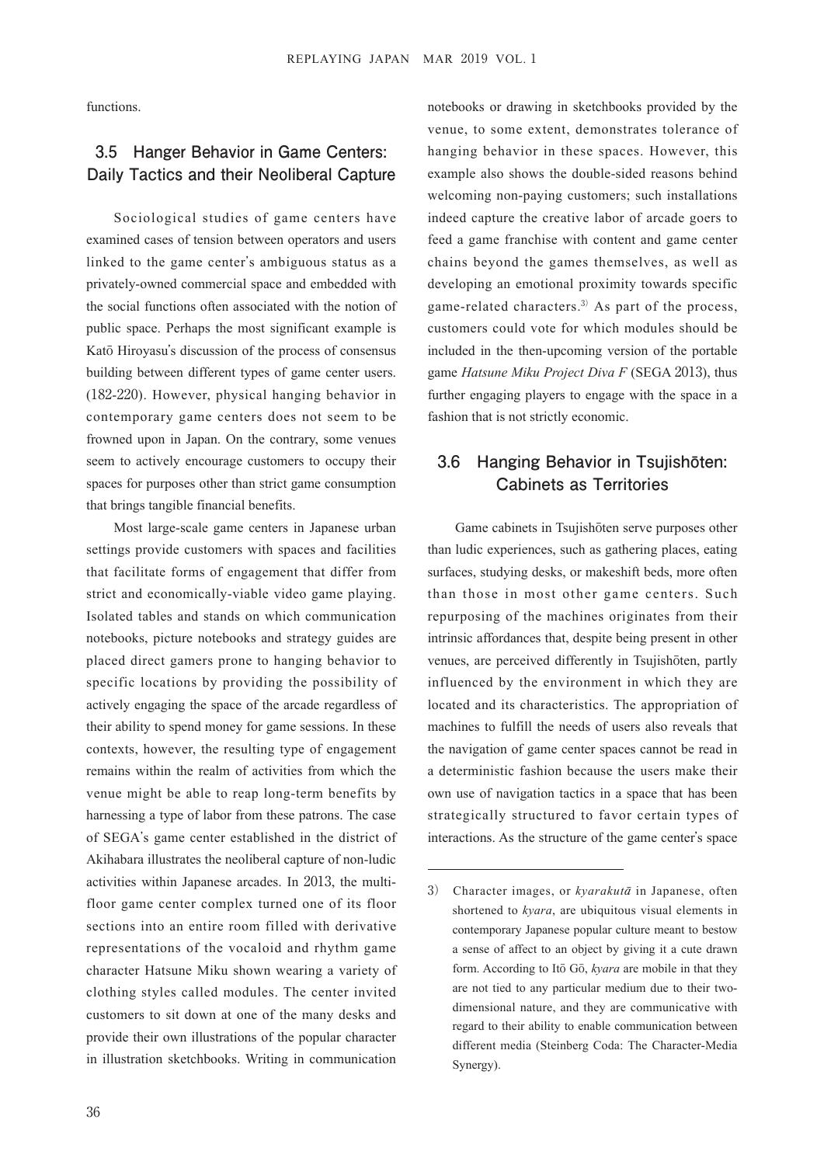functions.

### **3.5 Hanger Behavior in Game Centers: Daily Tactics and their Neoliberal Capture**

Sociological studies of game centers have examined cases of tension between operators and users linked to the game center's ambiguous status as a privately-owned commercial space and embedded with the social functions often associated with the notion of public space. Perhaps the most significant example is Katō Hiroyasu's discussion of the process of consensus building between different types of game center users. (182-220). However, physical hanging behavior in contemporary game centers does not seem to be frowned upon in Japan. On the contrary, some venues seem to actively encourage customers to occupy their spaces for purposes other than strict game consumption that brings tangible financial benefits.

Most large-scale game centers in Japanese urban settings provide customers with spaces and facilities that facilitate forms of engagement that differ from strict and economically-viable video game playing. Isolated tables and stands on which communication notebooks, picture notebooks and strategy guides are placed direct gamers prone to hanging behavior to specific locations by providing the possibility of actively engaging the space of the arcade regardless of their ability to spend money for game sessions. In these contexts, however, the resulting type of engagement remains within the realm of activities from which the venue might be able to reap long-term benefits by harnessing a type of labor from these patrons. The case of SEGA's game center established in the district of Akihabara illustrates the neoliberal capture of non-ludic activities within Japanese arcades. In 2013, the multifloor game center complex turned one of its floor sections into an entire room filled with derivative representations of the vocaloid and rhythm game character Hatsune Miku shown wearing a variety of clothing styles called modules. The center invited customers to sit down at one of the many desks and provide their own illustrations of the popular character in illustration sketchbooks. Writing in communication

notebooks or drawing in sketchbooks provided by the venue, to some extent, demonstrates tolerance of hanging behavior in these spaces. However, this example also shows the double-sided reasons behind welcoming non-paying customers; such installations indeed capture the creative labor of arcade goers to feed a game franchise with content and game center chains beyond the games themselves, as well as developing an emotional proximity towards specific game-related characters.3) As part of the process, customers could vote for which modules should be included in the then-upcoming version of the portable game *Hatsune Miku Project Diva F* (SEGA 2013), thus further engaging players to engage with the space in a fashion that is not strictly economic.

### **3.6 Hanging Behavior in Tsujishōten: Cabinets as Territories**

Game cabinets in Tsujishōten serve purposes other than ludic experiences, such as gathering places, eating surfaces, studying desks, or makeshift beds, more often than those in most other game centers. Such repurposing of the machines originates from their intrinsic affordances that, despite being present in other venues, are perceived differently in Tsujishōten, partly influenced by the environment in which they are located and its characteristics. The appropriation of machines to fulfill the needs of users also reveals that the navigation of game center spaces cannot be read in a deterministic fashion because the users make their own use of navigation tactics in a space that has been strategically structured to favor certain types of interactions. As the structure of the game center's space

<sup>3)</sup> Character images, or *kyarakut*ā in Japanese, often shortened to *kyara*, are ubiquitous visual elements in contemporary Japanese popular culture meant to bestow a sense of affect to an object by giving it a cute drawn form. According to Itō Gō, *kyara* are mobile in that they are not tied to any particular medium due to their twodimensional nature, and they are communicative with regard to their ability to enable communication between different media (Steinberg Coda: The Character-Media Synergy).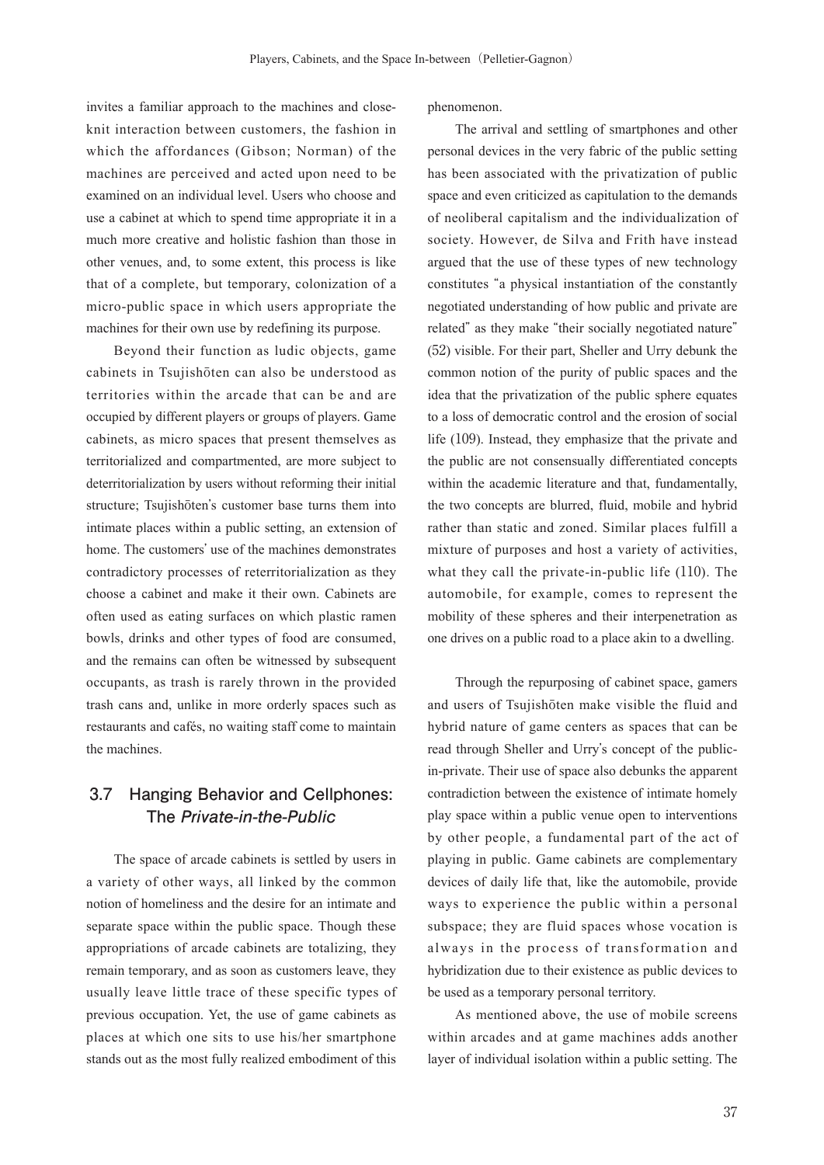invites a familiar approach to the machines and closeknit interaction between customers, the fashion in which the affordances (Gibson; Norman) of the machines are perceived and acted upon need to be examined on an individual level. Users who choose and use a cabinet at which to spend time appropriate it in a much more creative and holistic fashion than those in other venues, and, to some extent, this process is like that of a complete, but temporary, colonization of a micro-public space in which users appropriate the machines for their own use by redefining its purpose.

Beyond their function as ludic objects, game cabinets in Tsujishōten can also be understood as territories within the arcade that can be and are occupied by different players or groups of players. Game cabinets, as micro spaces that present themselves as territorialized and compartmented, are more subject to deterritorialization by users without reforming their initial structure; Tsujishōten's customer base turns them into intimate places within a public setting, an extension of home. The customers' use of the machines demonstrates contradictory processes of reterritorialization as they choose a cabinet and make it their own. Cabinets are often used as eating surfaces on which plastic ramen bowls, drinks and other types of food are consumed, and the remains can often be witnessed by subsequent occupants, as trash is rarely thrown in the provided trash cans and, unlike in more orderly spaces such as restaurants and cafés, no waiting staff come to maintain the machines.

### **3.7 Hanging Behavior and Cellphones: The Private-in-the-Public**

The space of arcade cabinets is settled by users in a variety of other ways, all linked by the common notion of homeliness and the desire for an intimate and separate space within the public space. Though these appropriations of arcade cabinets are totalizing, they remain temporary, and as soon as customers leave, they usually leave little trace of these specific types of previous occupation. Yet, the use of game cabinets as places at which one sits to use his/her smartphone stands out as the most fully realized embodiment of this phenomenon.

The arrival and settling of smartphones and other personal devices in the very fabric of the public setting has been associated with the privatization of public space and even criticized as capitulation to the demands of neoliberal capitalism and the individualization of society. However, de Silva and Frith have instead argued that the use of these types of new technology constitutes "a physical instantiation of the constantly negotiated understanding of how public and private are related" as they make "their socially negotiated nature" (52) visible. For their part, Sheller and Urry debunk the common notion of the purity of public spaces and the idea that the privatization of the public sphere equates to a loss of democratic control and the erosion of social life (109). Instead, they emphasize that the private and the public are not consensually differentiated concepts within the academic literature and that, fundamentally, the two concepts are blurred, fluid, mobile and hybrid rather than static and zoned. Similar places fulfill a mixture of purposes and host a variety of activities, what they call the private-in-public life (110). The automobile, for example, comes to represent the mobility of these spheres and their interpenetration as one drives on a public road to a place akin to a dwelling.

Through the repurposing of cabinet space, gamers and users of Tsujishōten make visible the fluid and hybrid nature of game centers as spaces that can be read through Sheller and Urry's concept of the publicin-private. Their use of space also debunks the apparent contradiction between the existence of intimate homely play space within a public venue open to interventions by other people, a fundamental part of the act of playing in public. Game cabinets are complementary devices of daily life that, like the automobile, provide ways to experience the public within a personal subspace; they are fluid spaces whose vocation is always in the process of transformation and hybridization due to their existence as public devices to be used as a temporary personal territory.

As mentioned above, the use of mobile screens within arcades and at game machines adds another layer of individual isolation within a public setting. The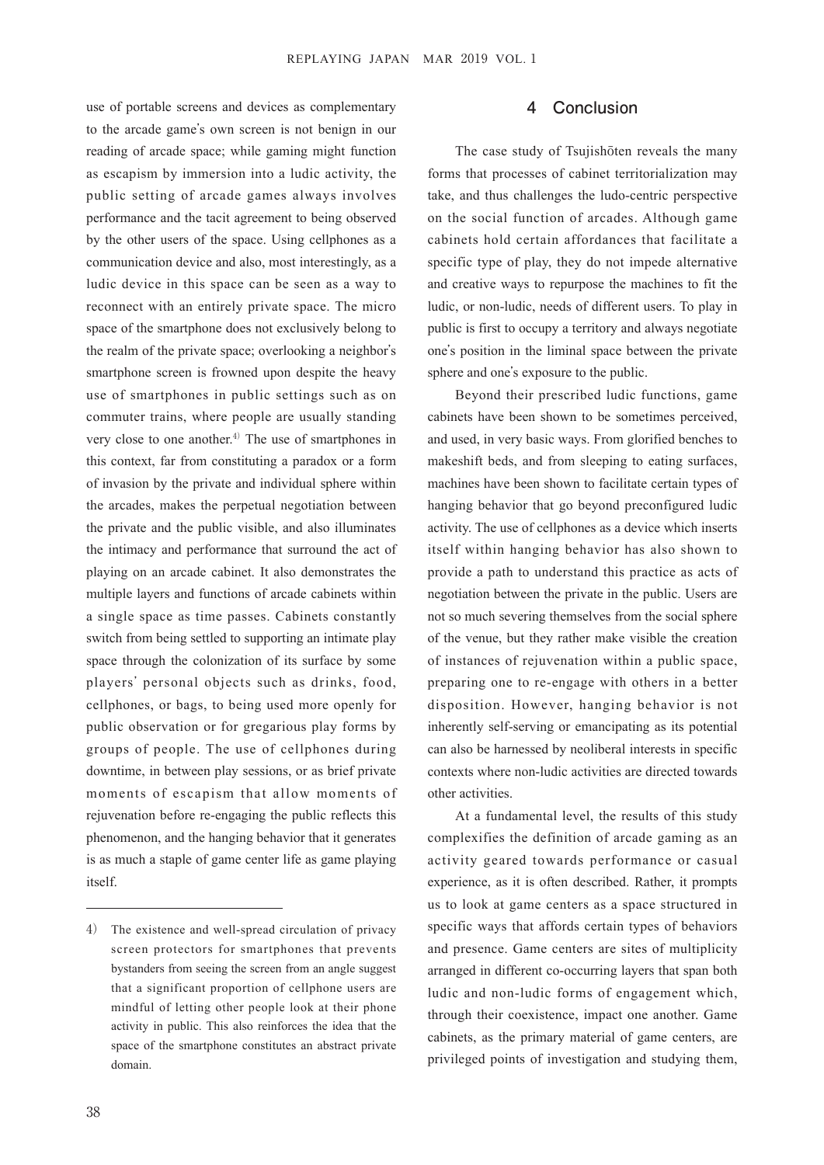use of portable screens and devices as complementary to the arcade game's own screen is not benign in our reading of arcade space; while gaming might function as escapism by immersion into a ludic activity, the public setting of arcade games always involves performance and the tacit agreement to being observed by the other users of the space. Using cellphones as a communication device and also, most interestingly, as a ludic device in this space can be seen as a way to reconnect with an entirely private space. The micro space of the smartphone does not exclusively belong to the realm of the private space; overlooking a neighbor's smartphone screen is frowned upon despite the heavy use of smartphones in public settings such as on commuter trains, where people are usually standing very close to one another.<sup>4)</sup> The use of smartphones in this context, far from constituting a paradox or a form of invasion by the private and individual sphere within the arcades, makes the perpetual negotiation between the private and the public visible, and also illuminates the intimacy and performance that surround the act of playing on an arcade cabinet. It also demonstrates the multiple layers and functions of arcade cabinets within a single space as time passes. Cabinets constantly switch from being settled to supporting an intimate play space through the colonization of its surface by some players' personal objects such as drinks, food, cellphones, or bags, to being used more openly for public observation or for gregarious play forms by groups of people. The use of cellphones during downtime, in between play sessions, or as brief private moments of escapism that allow moments of rejuvenation before re-engaging the public reflects this phenomenon, and the hanging behavior that it generates is as much a staple of game center life as game playing itself.

#### **4 Conclusion**

The case study of Tsujishōten reveals the many forms that processes of cabinet territorialization may take, and thus challenges the ludo-centric perspective on the social function of arcades. Although game cabinets hold certain affordances that facilitate a specific type of play, they do not impede alternative and creative ways to repurpose the machines to fit the ludic, or non-ludic, needs of different users. To play in public is first to occupy a territory and always negotiate one's position in the liminal space between the private sphere and one's exposure to the public.

Beyond their prescribed ludic functions, game cabinets have been shown to be sometimes perceived, and used, in very basic ways. From glorified benches to makeshift beds, and from sleeping to eating surfaces, machines have been shown to facilitate certain types of hanging behavior that go beyond preconfigured ludic activity. The use of cellphones as a device which inserts itself within hanging behavior has also shown to provide a path to understand this practice as acts of negotiation between the private in the public. Users are not so much severing themselves from the social sphere of the venue, but they rather make visible the creation of instances of rejuvenation within a public space, preparing one to re-engage with others in a better disposition. However, hanging behavior is not inherently self-serving or emancipating as its potential can also be harnessed by neoliberal interests in specific contexts where non-ludic activities are directed towards other activities.

At a fundamental level, the results of this study complexifies the definition of arcade gaming as an activity geared towards performance or casual experience, as it is often described. Rather, it prompts us to look at game centers as a space structured in specific ways that affords certain types of behaviors and presence. Game centers are sites of multiplicity arranged in different co-occurring layers that span both ludic and non-ludic forms of engagement which, through their coexistence, impact one another. Game cabinets, as the primary material of game centers, are privileged points of investigation and studying them,

<sup>4)</sup> The existence and well-spread circulation of privacy screen protectors for smartphones that prevents bystanders from seeing the screen from an angle suggest that a significant proportion of cellphone users are mindful of letting other people look at their phone activity in public. This also reinforces the idea that the space of the smartphone constitutes an abstract private domain.